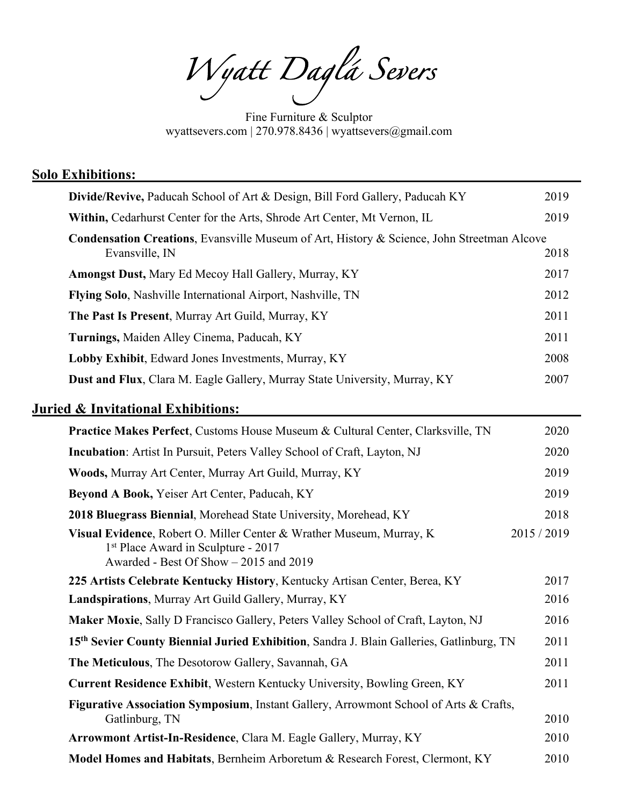*Wyatt Daglá Severs* 

Fine Furniture & Sculptor wyattsevers.com | 270.978.8436 | wyattsevers@gmail.com

| <b>Solo Exhibitions:</b>                                                                                                                                          |             |
|-------------------------------------------------------------------------------------------------------------------------------------------------------------------|-------------|
| Divide/Revive, Paducah School of Art & Design, Bill Ford Gallery, Paducah KY                                                                                      | 2019        |
| Within, Cedarhurst Center for the Arts, Shrode Art Center, Mt Vernon, IL                                                                                          | 2019        |
| Condensation Creations, Evansville Museum of Art, History & Science, John Streetman Alcove<br>Evansville, IN                                                      | 2018        |
| Amongst Dust, Mary Ed Mecoy Hall Gallery, Murray, KY                                                                                                              | 2017        |
| Flying Solo, Nashville International Airport, Nashville, TN                                                                                                       | 2012        |
| The Past Is Present, Murray Art Guild, Murray, KY                                                                                                                 | 2011        |
| Turnings, Maiden Alley Cinema, Paducah, KY                                                                                                                        | 2011        |
| Lobby Exhibit, Edward Jones Investments, Murray, KY                                                                                                               | 2008        |
| <b>Dust and Flux, Clara M. Eagle Gallery, Murray State University, Murray, KY</b>                                                                                 | 2007        |
| <b>Juried &amp; Invitational Exhibitions:</b>                                                                                                                     |             |
| <b>Practice Makes Perfect, Customs House Museum &amp; Cultural Center, Clarksville, TN</b>                                                                        | 2020        |
| Incubation: Artist In Pursuit, Peters Valley School of Craft, Layton, NJ                                                                                          | 2020        |
| Woods, Murray Art Center, Murray Art Guild, Murray, KY                                                                                                            | 2019        |
| Beyond A Book, Yeiser Art Center, Paducah, KY                                                                                                                     | 2019        |
| 2018 Bluegrass Biennial, Morehead State University, Morehead, KY                                                                                                  | 2018        |
| Visual Evidence, Robert O. Miller Center & Wrather Museum, Murray, K<br>1 <sup>st</sup> Place Award in Sculpture - 2017<br>Awarded - Best Of Show - 2015 and 2019 | 2015 / 2019 |
| 225 Artists Celebrate Kentucky History, Kentucky Artisan Center, Berea, KY                                                                                        | 2017        |
| Landspirations, Murray Art Guild Gallery, Murray, KY                                                                                                              | 2016        |
| Maker Moxie, Sally D Francisco Gallery, Peters Valley School of Craft, Layton, NJ                                                                                 | 2016        |
| 15th Sevier County Biennial Juried Exhibition, Sandra J. Blain Galleries, Gatlinburg, TN                                                                          | 2011        |
| The Meticulous, The Desotorow Gallery, Savannah, GA                                                                                                               | 2011        |
| Current Residence Exhibit, Western Kentucky University, Bowling Green, KY                                                                                         | 2011        |
| Figurative Association Symposium, Instant Gallery, Arrowmont School of Arts & Crafts,<br>Gatlinburg, TN                                                           | 2010        |
| Arrowmont Artist-In-Residence, Clara M. Eagle Gallery, Murray, KY                                                                                                 | 2010        |
| Model Homes and Habitats, Bernheim Arboretum & Research Forest, Clermont, KY                                                                                      | 2010        |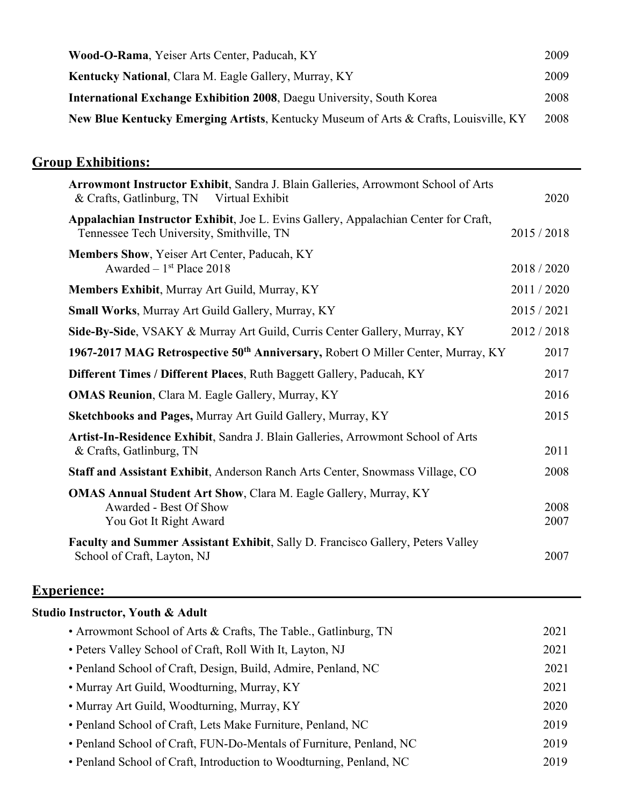| Wood-O-Rama, Yeiser Arts Center, Paducah, KY                                         | 2009 |
|--------------------------------------------------------------------------------------|------|
| <b>Kentucky National, Clara M. Eagle Gallery, Murray, KY</b>                         | 2009 |
| <b>International Exchange Exhibition 2008, Daegu University, South Korea</b>         | 2008 |
| New Blue Kentucky Emerging Artists, Kentucky Museum of Arts & Crafts, Louisville, KY | 2008 |

# **Group Exhibitions:**

| Arrowmont Instructor Exhibit, Sandra J. Blain Galleries, Arrowmont School of Arts<br>& Crafts, Gatlinburg, TN<br>Virtual Exhibit | 2020         |
|----------------------------------------------------------------------------------------------------------------------------------|--------------|
| Appalachian Instructor Exhibit, Joe L. Evins Gallery, Appalachian Center for Craft,<br>Tennessee Tech University, Smithville, TN | 2015/2018    |
| Members Show, Yeiser Art Center, Paducah, KY<br>Awarded $-1$ <sup>st</sup> Place 2018                                            | 2018/2020    |
| Members Exhibit, Murray Art Guild, Murray, KY                                                                                    | 2011/2020    |
| Small Works, Murray Art Guild Gallery, Murray, KY                                                                                | 2015 / 2021  |
| Side-By-Side, VSAKY & Murray Art Guild, Curris Center Gallery, Murray, KY                                                        | 2012/2018    |
| 1967-2017 MAG Retrospective 50 <sup>th</sup> Anniversary, Robert O Miller Center, Murray, KY                                     | 2017         |
| Different Times / Different Places, Ruth Baggett Gallery, Paducah, KY                                                            | 2017         |
| <b>OMAS Reunion, Clara M. Eagle Gallery, Murray, KY</b>                                                                          | 2016         |
| Sketchbooks and Pages, Murray Art Guild Gallery, Murray, KY                                                                      | 2015         |
| Artist-In-Residence Exhibit, Sandra J. Blain Galleries, Arrowmont School of Arts<br>& Crafts, Gatlinburg, TN                     | 2011         |
| Staff and Assistant Exhibit, Anderson Ranch Arts Center, Snowmass Village, CO                                                    | 2008         |
| <b>OMAS Annual Student Art Show, Clara M. Eagle Gallery, Murray, KY</b><br>Awarded - Best Of Show<br>You Got It Right Award      | 2008<br>2007 |
| Faculty and Summer Assistant Exhibit, Sally D. Francisco Gallery, Peters Valley<br>School of Craft, Layton, NJ                   | 2007         |

## **Experience:**

| Studio Instructor, Youth & Adult                                    |      |
|---------------------------------------------------------------------|------|
| • Arrowmont School of Arts & Crafts, The Table., Gatlinburg, TN     | 2021 |
| • Peters Valley School of Craft, Roll With It, Layton, NJ           | 2021 |
| • Penland School of Craft, Design, Build, Admire, Penland, NC       | 2021 |
| • Murray Art Guild, Woodturning, Murray, KY                         | 2021 |
| • Murray Art Guild, Woodturning, Murray, KY                         | 2020 |
| • Penland School of Craft, Lets Make Furniture, Penland, NC         | 2019 |
| • Penland School of Craft, FUN-Do-Mentals of Furniture, Penland, NC | 2019 |
| • Penland School of Craft, Introduction to Woodturning, Penland, NC | 2019 |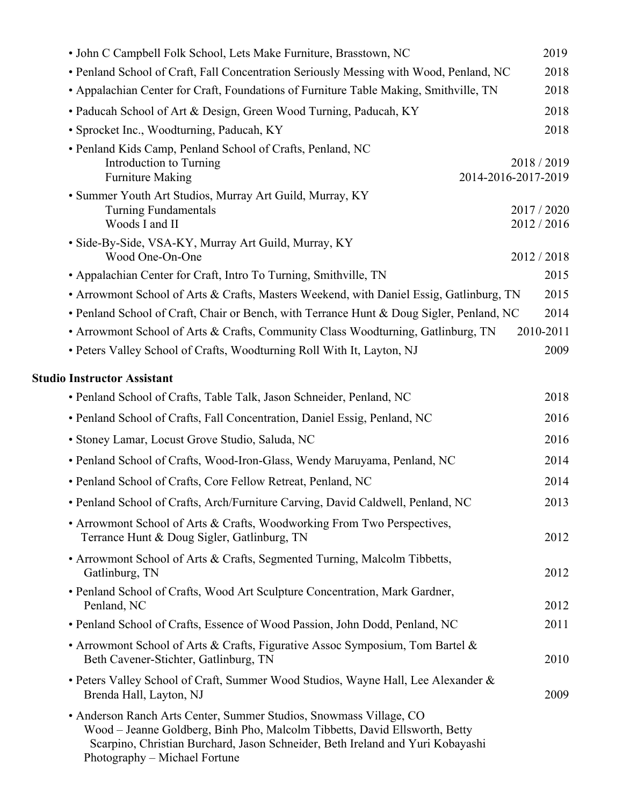| • John C Campbell Folk School, Lets Make Furniture, Brasstown, NC                                                                                                                                                                                                   | 2019              |
|---------------------------------------------------------------------------------------------------------------------------------------------------------------------------------------------------------------------------------------------------------------------|-------------------|
| • Penland School of Craft, Fall Concentration Seriously Messing with Wood, Penland, NC                                                                                                                                                                              | 2018              |
| • Appalachian Center for Craft, Foundations of Furniture Table Making, Smithville, TN                                                                                                                                                                               | 2018              |
| • Paducah School of Art & Design, Green Wood Turning, Paducah, KY                                                                                                                                                                                                   | 2018              |
| • Sprocket Inc., Woodturning, Paducah, KY                                                                                                                                                                                                                           | 2018              |
| • Penland Kids Camp, Penland School of Crafts, Penland, NC                                                                                                                                                                                                          |                   |
| Introduction to Turning<br>2014-2016-2017-2019<br><b>Furniture Making</b>                                                                                                                                                                                           | 2018/2019         |
| • Summer Youth Art Studios, Murray Art Guild, Murray, KY                                                                                                                                                                                                            |                   |
| <b>Turning Fundamentals</b>                                                                                                                                                                                                                                         | 2017 / 2020       |
| Woods I and II                                                                                                                                                                                                                                                      | 2012 / 2016       |
| · Side-By-Side, VSA-KY, Murray Art Guild, Murray, KY                                                                                                                                                                                                                |                   |
| Wood One-On-One                                                                                                                                                                                                                                                     | 2012/2018         |
| • Appalachian Center for Craft, Intro To Turning, Smithville, TN                                                                                                                                                                                                    | 2015              |
| • Arrowmont School of Arts & Crafts, Masters Weekend, with Daniel Essig, Gatlinburg, TN                                                                                                                                                                             | 2015              |
| • Penland School of Craft, Chair or Bench, with Terrance Hunt & Doug Sigler, Penland, NC                                                                                                                                                                            | 2014<br>2010-2011 |
| • Arrowmont School of Arts & Crafts, Community Class Woodturning, Gatlinburg, TN<br>• Peters Valley School of Crafts, Woodturning Roll With It, Layton, NJ                                                                                                          | 2009              |
|                                                                                                                                                                                                                                                                     |                   |
| <b>Studio Instructor Assistant</b>                                                                                                                                                                                                                                  |                   |
| • Penland School of Crafts, Table Talk, Jason Schneider, Penland, NC                                                                                                                                                                                                | 2018              |
| • Penland School of Crafts, Fall Concentration, Daniel Essig, Penland, NC                                                                                                                                                                                           | 2016              |
| · Stoney Lamar, Locust Grove Studio, Saluda, NC                                                                                                                                                                                                                     | 2016              |
| • Penland School of Crafts, Wood-Iron-Glass, Wendy Maruyama, Penland, NC                                                                                                                                                                                            | 2014              |
| • Penland School of Crafts, Core Fellow Retreat, Penland, NC                                                                                                                                                                                                        | 2014              |
| • Penland School of Crafts, Arch/Furniture Carving, David Caldwell, Penland, NC                                                                                                                                                                                     | 2013              |
| • Arrowmont School of Arts & Crafts, Woodworking From Two Perspectives,                                                                                                                                                                                             |                   |
| Terrance Hunt & Doug Sigler, Gatlinburg, TN                                                                                                                                                                                                                         | 2012              |
| • Arrowmont School of Arts & Crafts, Segmented Turning, Malcolm Tibbetts,                                                                                                                                                                                           |                   |
| Gatlinburg, TN                                                                                                                                                                                                                                                      | 2012              |
| • Penland School of Crafts, Wood Art Sculpture Concentration, Mark Gardner,                                                                                                                                                                                         |                   |
| Penland, NC                                                                                                                                                                                                                                                         | 2012              |
| • Penland School of Crafts, Essence of Wood Passion, John Dodd, Penland, NC                                                                                                                                                                                         | 2011              |
| • Arrowmont School of Arts & Crafts, Figurative Assoc Symposium, Tom Bartel &<br>Beth Cavener-Stichter, Gatlinburg, TN                                                                                                                                              | 2010              |
| • Peters Valley School of Craft, Summer Wood Studios, Wayne Hall, Lee Alexander &                                                                                                                                                                                   |                   |
| Brenda Hall, Layton, NJ                                                                                                                                                                                                                                             | 2009              |
| • Anderson Ranch Arts Center, Summer Studios, Snowmass Village, CO<br>Wood - Jeanne Goldberg, Binh Pho, Malcolm Tibbetts, David Ellsworth, Betty<br>Scarpino, Christian Burchard, Jason Schneider, Beth Ireland and Yuri Kobayashi<br>Photography – Michael Fortune |                   |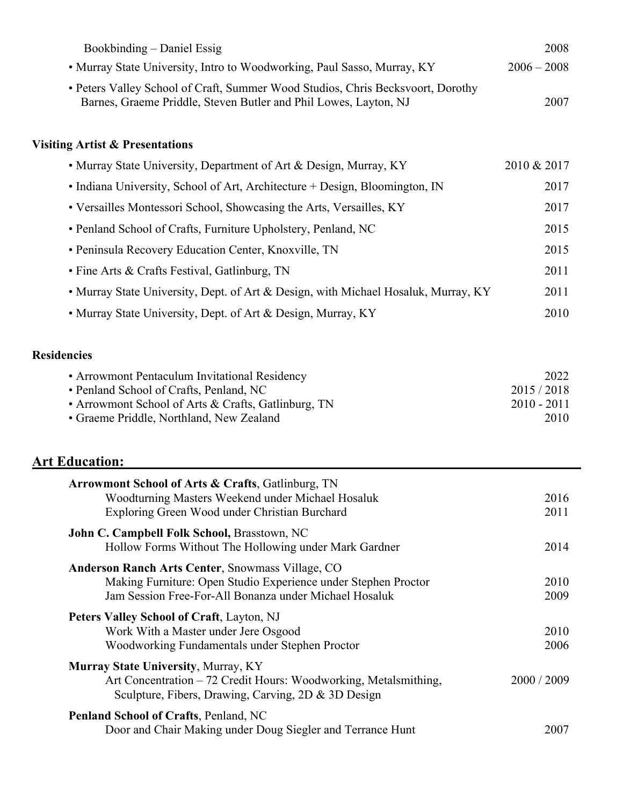| Bookbinding – Daniel Essig                                                                                                                                                                  |             | 2008                                       |
|---------------------------------------------------------------------------------------------------------------------------------------------------------------------------------------------|-------------|--------------------------------------------|
| • Murray State University, Intro to Woodworking, Paul Sasso, Murray, KY                                                                                                                     |             | $2006 - 2008$                              |
| • Peters Valley School of Craft, Summer Wood Studios, Chris Becksvoort, Dorothy<br>Barnes, Graeme Priddle, Steven Butler and Phil Lowes, Layton, NJ                                         |             | 2007                                       |
| <b>Visiting Artist &amp; Presentations</b>                                                                                                                                                  |             |                                            |
| • Murray State University, Department of Art & Design, Murray, KY                                                                                                                           | 2010 & 2017 |                                            |
| • Indiana University, School of Art, Architecture + Design, Bloomington, IN                                                                                                                 |             | 2017                                       |
| • Versailles Montessori School, Showcasing the Arts, Versailles, KY                                                                                                                         |             | 2017                                       |
| • Penland School of Crafts, Furniture Upholstery, Penland, NC                                                                                                                               |             | 2015                                       |
| • Peninsula Recovery Education Center, Knoxville, TN                                                                                                                                        |             | 2015                                       |
| • Fine Arts & Crafts Festival, Gatlinburg, TN                                                                                                                                               |             | 2011                                       |
| • Murray State University, Dept. of Art & Design, with Michael Hosaluk, Murray, KY                                                                                                          |             | 2011                                       |
| • Murray State University, Dept. of Art & Design, Murray, KY                                                                                                                                |             | 2010                                       |
| <b>Residencies</b>                                                                                                                                                                          |             |                                            |
| • Arrowmont Pentaculum Invitational Residency<br>· Penland School of Crafts, Penland, NC<br>• Arrowmont School of Arts & Crafts, Gatlinburg, TN<br>• Graeme Priddle, Northland, New Zealand |             | 2022<br>2015/2018<br>$2010 - 2011$<br>2010 |
| <b>Art Education:</b>                                                                                                                                                                       |             |                                            |
| <b>Arrowmont School of Arts &amp; Crafts, Gatlinburg, TN</b><br>Woodturning Masters Weekend under Michael Hosaluk<br>Exploring Green Wood under Christian Burchard                          |             | 2016<br>2011                               |
| John C. Campbell Folk School, Brasstown, NC<br>Hollow Forms Without The Hollowing under Mark Gardner                                                                                        |             | 2014                                       |
| <b>Anderson Ranch Arts Center, Snowmass Village, CO</b><br>Making Furniture: Open Studio Experience under Stephen Proctor<br>Jam Session Free-For-All Bonanza under Michael Hosaluk         |             | 2010<br>2009                               |
| Peters Valley School of Craft, Layton, NJ<br>Work With a Master under Jere Osgood<br>Woodworking Fundamentals under Stephen Proctor                                                         |             | 2010<br>2006                               |
| Murray State University, Murray, KY<br>Art Concentration – 72 Credit Hours: Woodworking, Metalsmithing,<br>Sculpture, Fibers, Drawing, Carving, 2D & 3D Design                              |             | 2000 / 2009                                |
| Penland School of Crafts, Penland, NC<br>Door and Chair Making under Doug Siegler and Terrance Hunt                                                                                         |             | 2007                                       |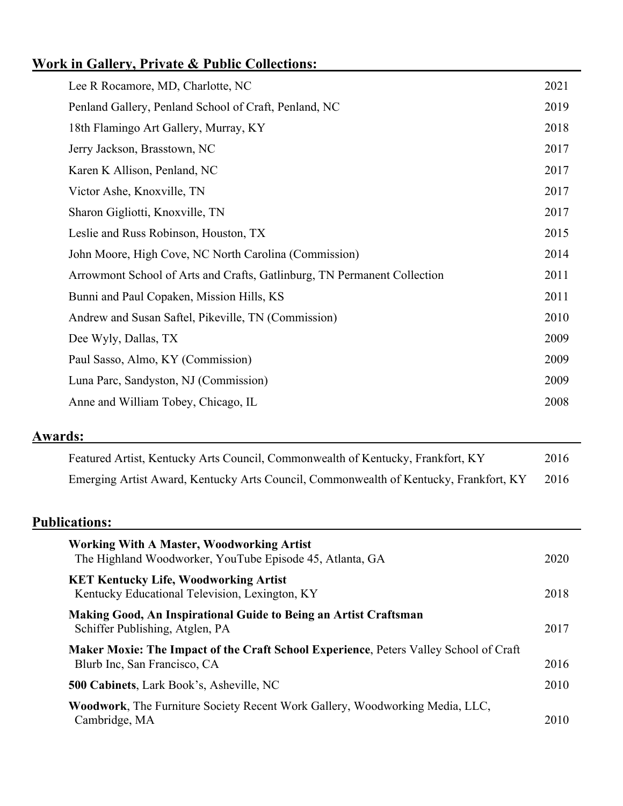## **Work in Gallery, Private & Public Collections:**

| Lee R Rocamore, MD, Charlotte, NC                                        | 2021 |
|--------------------------------------------------------------------------|------|
| Penland Gallery, Penland School of Craft, Penland, NC                    | 2019 |
| 18th Flamingo Art Gallery, Murray, KY                                    | 2018 |
| Jerry Jackson, Brasstown, NC                                             | 2017 |
| Karen K Allison, Penland, NC                                             | 2017 |
| Victor Ashe, Knoxville, TN                                               | 2017 |
| Sharon Gigliotti, Knoxville, TN                                          | 2017 |
| Leslie and Russ Robinson, Houston, TX                                    | 2015 |
| John Moore, High Cove, NC North Carolina (Commission)                    | 2014 |
| Arrowmont School of Arts and Crafts, Gatlinburg, TN Permanent Collection | 2011 |
| Bunni and Paul Copaken, Mission Hills, KS                                | 2011 |
| Andrew and Susan Saftel, Pikeville, TN (Commission)                      | 2010 |
| Dee Wyly, Dallas, TX                                                     | 2009 |
| Paul Sasso, Almo, KY (Commission)                                        | 2009 |
| Luna Parc, Sandyston, NJ (Commission)                                    | 2009 |
| Anne and William Tobey, Chicago, IL                                      | 2008 |
|                                                                          |      |

### **Awards:**

| Featured Artist, Kentucky Arts Council, Commonwealth of Kentucky, Frankfort, KY       | 2016 |
|---------------------------------------------------------------------------------------|------|
| Emerging Artist Award, Kentucky Arts Council, Commonwealth of Kentucky, Frankfort, KY | 2016 |

### **Publications:**

| <b>Working With A Master, Woodworking Artist</b><br>The Highland Woodworker, YouTube Episode 45, Atlanta, GA                 | 2020 |
|------------------------------------------------------------------------------------------------------------------------------|------|
| <b>KET Kentucky Life, Woodworking Artist</b><br>Kentucky Educational Television, Lexington, KY                               | 2018 |
| Making Good, An Inspirational Guide to Being an Artist Craftsman<br>Schiffer Publishing, Atglen, PA                          | 2017 |
| <b>Maker Moxie: The Impact of the Craft School Experience, Peters Valley School of Craft</b><br>Blurb Inc, San Francisco, CA | 2016 |
| <b>500 Cabinets, Lark Book's, Asheville, NC</b>                                                                              | 2010 |
| <b>Woodwork, The Furniture Society Recent Work Gallery, Woodworking Media, LLC,</b><br>Cambridge, MA                         | 2010 |